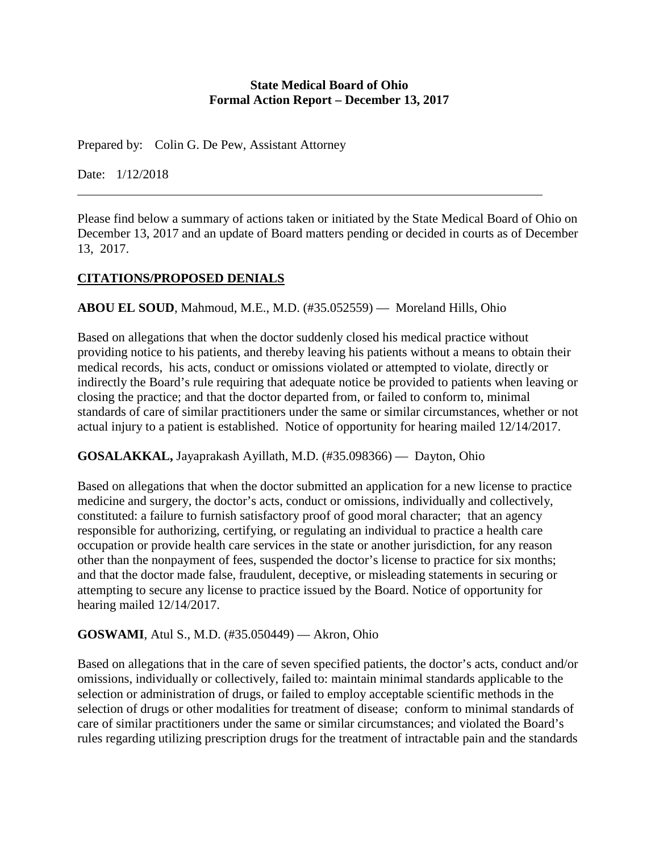#### **State Medical Board of Ohio Formal Action Report – December 13, 2017**

Prepared by: Colin G. De Pew, Assistant Attorney

Date: 1/12/2018

Please find below a summary of actions taken or initiated by the State Medical Board of Ohio on December 13, 2017 and an update of Board matters pending or decided in courts as of December 13, 2017.

# **CITATIONS/PROPOSED DENIALS**

**ABOU EL SOUD**, Mahmoud, M.E., M.D. (#35.052559) — Moreland Hills, Ohio

Based on allegations that when the doctor suddenly closed his medical practice without providing notice to his patients, and thereby leaving his patients without a means to obtain their medical records, his acts, conduct or omissions violated or attempted to violate, directly or indirectly the Board's rule requiring that adequate notice be provided to patients when leaving or closing the practice; and that the doctor departed from, or failed to conform to, minimal standards of care of similar practitioners under the same or similar circumstances, whether or not actual injury to a patient is established. Notice of opportunity for hearing mailed 12/14/2017.

**GOSALAKKAL,** Jayaprakash Ayillath, M.D. (#35.098366) — Dayton, Ohio

Based on allegations that when the doctor submitted an application for a new license to practice medicine and surgery, the doctor's acts, conduct or omissions, individually and collectively, constituted: a failure to furnish satisfactory proof of good moral character; that an agency responsible for authorizing, certifying, or regulating an individual to practice a health care occupation or provide health care services in the state or another jurisdiction, for any reason other than the nonpayment of fees, suspended the doctor's license to practice for six months; and that the doctor made false, fraudulent, deceptive, or misleading statements in securing or attempting to secure any license to practice issued by the Board. Notice of opportunity for hearing mailed 12/14/2017.

#### **GOSWAMI**, Atul S., M.D. (#35.050449) — Akron, Ohio

Based on allegations that in the care of seven specified patients, the doctor's acts, conduct and/or omissions, individually or collectively, failed to: maintain minimal standards applicable to the selection or administration of drugs, or failed to employ acceptable scientific methods in the selection of drugs or other modalities for treatment of disease; conform to minimal standards of care of similar practitioners under the same or similar circumstances; and violated the Board's rules regarding utilizing prescription drugs for the treatment of intractable pain and the standards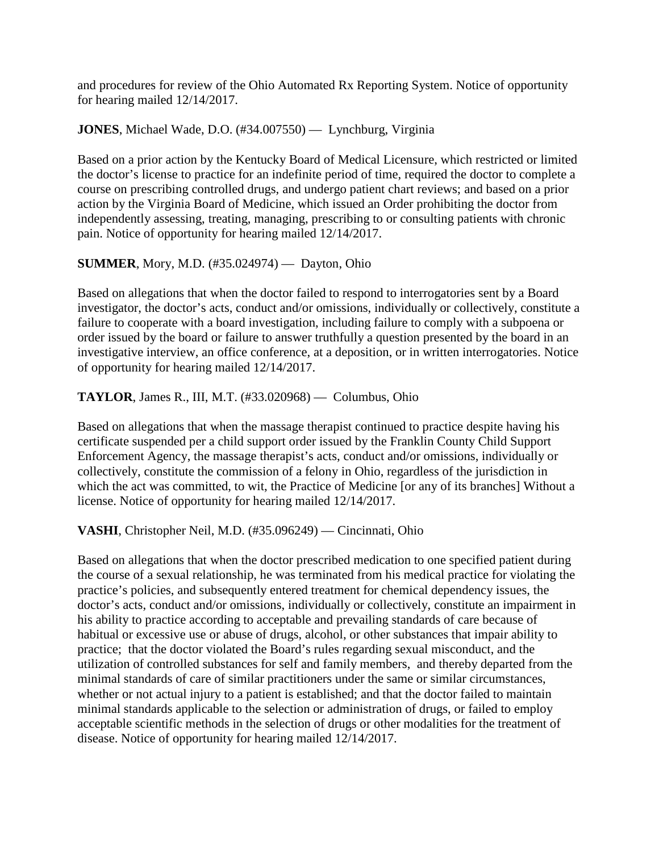and procedures for review of the Ohio Automated Rx Reporting System. Notice of opportunity for hearing mailed 12/14/2017.

**JONES**, Michael Wade, D.O. (#34.007550) — Lynchburg, Virginia

Based on a prior action by the Kentucky Board of Medical Licensure, which restricted or limited the doctor's license to practice for an indefinite period of time, required the doctor to complete a course on prescribing controlled drugs, and undergo patient chart reviews; and based on a prior action by the Virginia Board of Medicine, which issued an Order prohibiting the doctor from independently assessing, treating, managing, prescribing to or consulting patients with chronic pain. Notice of opportunity for hearing mailed 12/14/2017.

# **SUMMER**, Mory, M.D. (#35.024974) — Dayton, Ohio

Based on allegations that when the doctor failed to respond to interrogatories sent by a Board investigator, the doctor's acts, conduct and/or omissions, individually or collectively, constitute a failure to cooperate with a board investigation, including failure to comply with a subpoena or order issued by the board or failure to answer truthfully a question presented by the board in an investigative interview, an office conference, at a deposition, or in written interrogatories. Notice of opportunity for hearing mailed 12/14/2017.

**TAYLOR**, James R., III, M.T. (#33.020968) — Columbus, Ohio

Based on allegations that when the massage therapist continued to practice despite having his certificate suspended per a child support order issued by the Franklin County Child Support Enforcement Agency, the massage therapist's acts, conduct and/or omissions, individually or collectively, constitute the commission of a felony in Ohio, regardless of the jurisdiction in which the act was committed, to wit, the Practice of Medicine [or any of its branches] Without a license. Notice of opportunity for hearing mailed 12/14/2017.

**VASHI**, Christopher Neil, M.D. (#35.096249) — Cincinnati, Ohio

Based on allegations that when the doctor prescribed medication to one specified patient during the course of a sexual relationship, he was terminated from his medical practice for violating the practice's policies, and subsequently entered treatment for chemical dependency issues, the doctor's acts, conduct and/or omissions, individually or collectively, constitute an impairment in his ability to practice according to acceptable and prevailing standards of care because of habitual or excessive use or abuse of drugs, alcohol, or other substances that impair ability to practice; that the doctor violated the Board's rules regarding sexual misconduct, and the utilization of controlled substances for self and family members, and thereby departed from the minimal standards of care of similar practitioners under the same or similar circumstances, whether or not actual injury to a patient is established; and that the doctor failed to maintain minimal standards applicable to the selection or administration of drugs, or failed to employ acceptable scientific methods in the selection of drugs or other modalities for the treatment of disease. Notice of opportunity for hearing mailed 12/14/2017.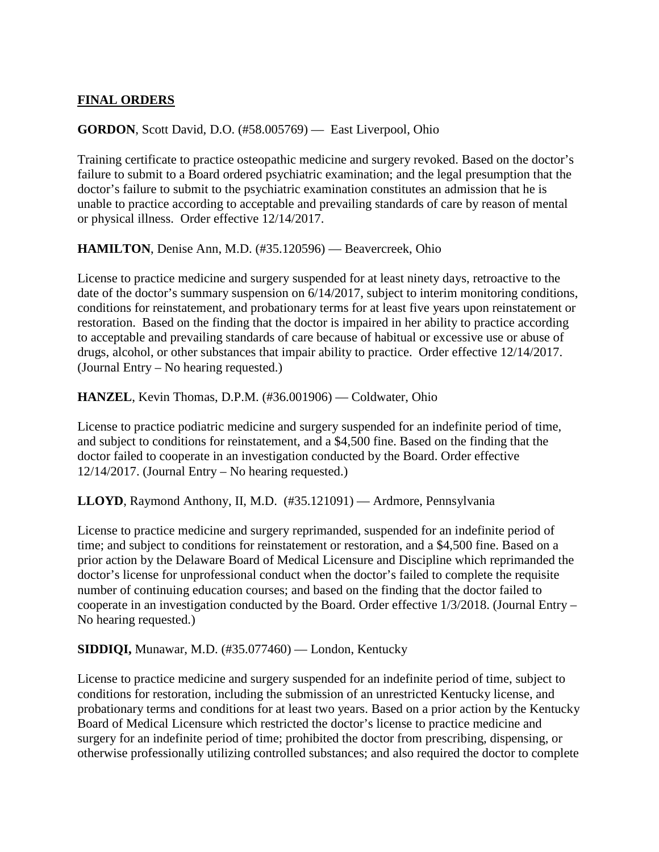## **FINAL ORDERS**

## **GORDON**, Scott David, D.O. (#58.005769) — East Liverpool, Ohio

Training certificate to practice osteopathic medicine and surgery revoked. Based on the doctor's failure to submit to a Board ordered psychiatric examination; and the legal presumption that the doctor's failure to submit to the psychiatric examination constitutes an admission that he is unable to practice according to acceptable and prevailing standards of care by reason of mental or physical illness. Order effective 12/14/2017.

**HAMILTON**, Denise Ann, M.D. (#35.120596) — Beavercreek, Ohio

License to practice medicine and surgery suspended for at least ninety days, retroactive to the date of the doctor's summary suspension on  $6/14/2017$ , subject to interim monitoring conditions, conditions for reinstatement, and probationary terms for at least five years upon reinstatement or restoration. Based on the finding that the doctor is impaired in her ability to practice according to acceptable and prevailing standards of care because of habitual or excessive use or abuse of drugs, alcohol, or other substances that impair ability to practice. Order effective 12/14/2017. (Journal Entry – No hearing requested.)

**HANZEL**, Kevin Thomas, D.P.M. (#36.001906) — Coldwater, Ohio

License to practice podiatric medicine and surgery suspended for an indefinite period of time, and subject to conditions for reinstatement, and a \$4,500 fine. Based on the finding that the doctor failed to cooperate in an investigation conducted by the Board. Order effective 12/14/2017. (Journal Entry – No hearing requested.)

**LLOYD**, Raymond Anthony, II, M.D. (#35.121091) — Ardmore, Pennsylvania

License to practice medicine and surgery reprimanded, suspended for an indefinite period of time; and subject to conditions for reinstatement or restoration, and a \$4,500 fine. Based on a prior action by the Delaware Board of Medical Licensure and Discipline which reprimanded the doctor's license for unprofessional conduct when the doctor's failed to complete the requisite number of continuing education courses; and based on the finding that the doctor failed to cooperate in an investigation conducted by the Board. Order effective 1/3/2018. (Journal Entry – No hearing requested.)

**SIDDIQI,** Munawar, M.D. (#35.077460) — London, Kentucky

License to practice medicine and surgery suspended for an indefinite period of time, subject to conditions for restoration, including the submission of an unrestricted Kentucky license, and probationary terms and conditions for at least two years. Based on a prior action by the Kentucky Board of Medical Licensure which restricted the doctor's license to practice medicine and surgery for an indefinite period of time; prohibited the doctor from prescribing, dispensing, or otherwise professionally utilizing controlled substances; and also required the doctor to complete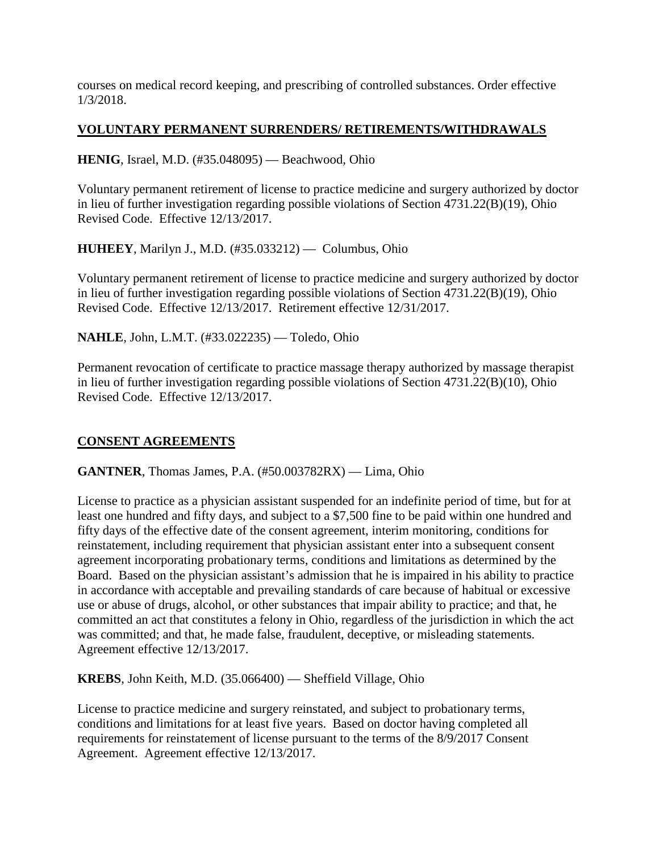courses on medical record keeping, and prescribing of controlled substances. Order effective 1/3/2018.

## **VOLUNTARY PERMANENT SURRENDERS/ RETIREMENTS/WITHDRAWALS**

**HENIG**, Israel, M.D. (#35.048095) — Beachwood, Ohio

Voluntary permanent retirement of license to practice medicine and surgery authorized by doctor in lieu of further investigation regarding possible violations of Section 4731.22(B)(19), Ohio Revised Code. Effective 12/13/2017.

**HUHEEY**, Marilyn J., M.D. (#35.033212) — Columbus, Ohio

Voluntary permanent retirement of license to practice medicine and surgery authorized by doctor in lieu of further investigation regarding possible violations of Section 4731.22(B)(19), Ohio Revised Code. Effective 12/13/2017. Retirement effective 12/31/2017.

**NAHLE**, John, L.M.T. (#33.022235) — Toledo, Ohio

Permanent revocation of certificate to practice massage therapy authorized by massage therapist in lieu of further investigation regarding possible violations of Section 4731.22(B)(10), Ohio Revised Code. Effective 12/13/2017.

# **CONSENT AGREEMENTS**

**GANTNER**, Thomas James, P.A. (#50.003782RX) — Lima, Ohio

License to practice as a physician assistant suspended for an indefinite period of time, but for at least one hundred and fifty days, and subject to a \$7,500 fine to be paid within one hundred and fifty days of the effective date of the consent agreement, interim monitoring, conditions for reinstatement, including requirement that physician assistant enter into a subsequent consent agreement incorporating probationary terms, conditions and limitations as determined by the Board. Based on the physician assistant's admission that he is impaired in his ability to practice in accordance with acceptable and prevailing standards of care because of habitual or excessive use or abuse of drugs, alcohol, or other substances that impair ability to practice; and that, he committed an act that constitutes a felony in Ohio, regardless of the jurisdiction in which the act was committed; and that, he made false, fraudulent, deceptive, or misleading statements. Agreement effective 12/13/2017.

**KREBS**, John Keith, M.D. (35.066400) — Sheffield Village, Ohio

License to practice medicine and surgery reinstated, and subject to probationary terms, conditions and limitations for at least five years. Based on doctor having completed all requirements for reinstatement of license pursuant to the terms of the 8/9/2017 Consent Agreement. Agreement effective 12/13/2017.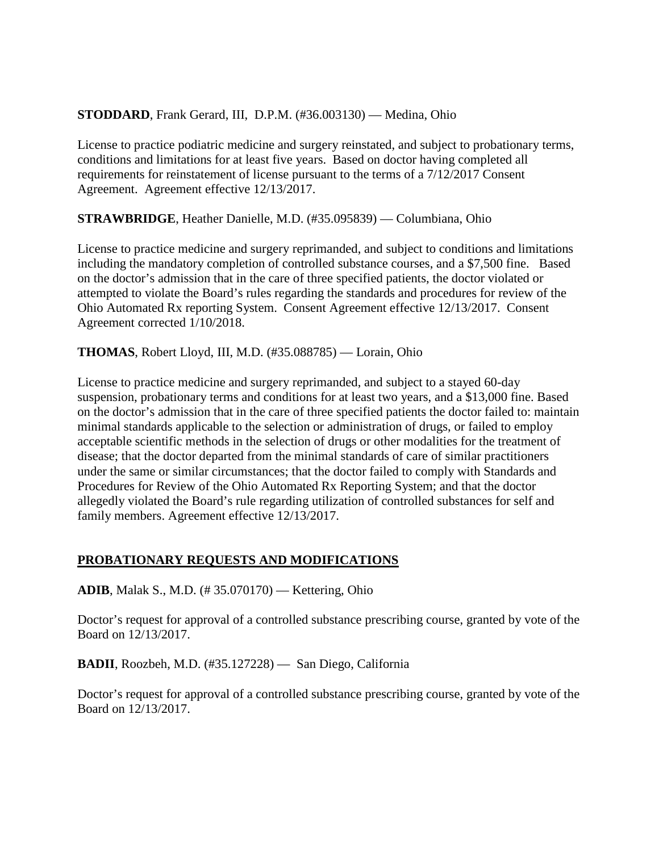## **STODDARD**, Frank Gerard, III, D.P.M. (#36.003130) — Medina, Ohio

License to practice podiatric medicine and surgery reinstated, and subject to probationary terms, conditions and limitations for at least five years. Based on doctor having completed all requirements for reinstatement of license pursuant to the terms of a 7/12/2017 Consent Agreement. Agreement effective 12/13/2017.

**STRAWBRIDGE**, Heather Danielle, M.D. (#35.095839) — Columbiana, Ohio

License to practice medicine and surgery reprimanded, and subject to conditions and limitations including the mandatory completion of controlled substance courses, and a \$7,500 fine. Based on the doctor's admission that in the care of three specified patients, the doctor violated or attempted to violate the Board's rules regarding the standards and procedures for review of the Ohio Automated Rx reporting System. Consent Agreement effective 12/13/2017. Consent Agreement corrected 1/10/2018.

**THOMAS**, Robert Lloyd, III, M.D. (#35.088785) — Lorain, Ohio

License to practice medicine and surgery reprimanded, and subject to a stayed 60-day suspension, probationary terms and conditions for at least two years, and a \$13,000 fine. Based on the doctor's admission that in the care of three specified patients the doctor failed to: maintain minimal standards applicable to the selection or administration of drugs, or failed to employ acceptable scientific methods in the selection of drugs or other modalities for the treatment of disease; that the doctor departed from the minimal standards of care of similar practitioners under the same or similar circumstances; that the doctor failed to comply with Standards and Procedures for Review of the Ohio Automated Rx Reporting System; and that the doctor allegedly violated the Board's rule regarding utilization of controlled substances for self and family members. Agreement effective 12/13/2017.

#### **PROBATIONARY REQUESTS AND MODIFICATIONS**

**ADIB**, Malak S., M.D. (# 35.070170) — Kettering, Ohio

Doctor's request for approval of a controlled substance prescribing course, granted by vote of the Board on 12/13/2017.

**BADII**, Roozbeh, M.D. (#35.127228) — San Diego, California

Doctor's request for approval of a controlled substance prescribing course, granted by vote of the Board on 12/13/2017.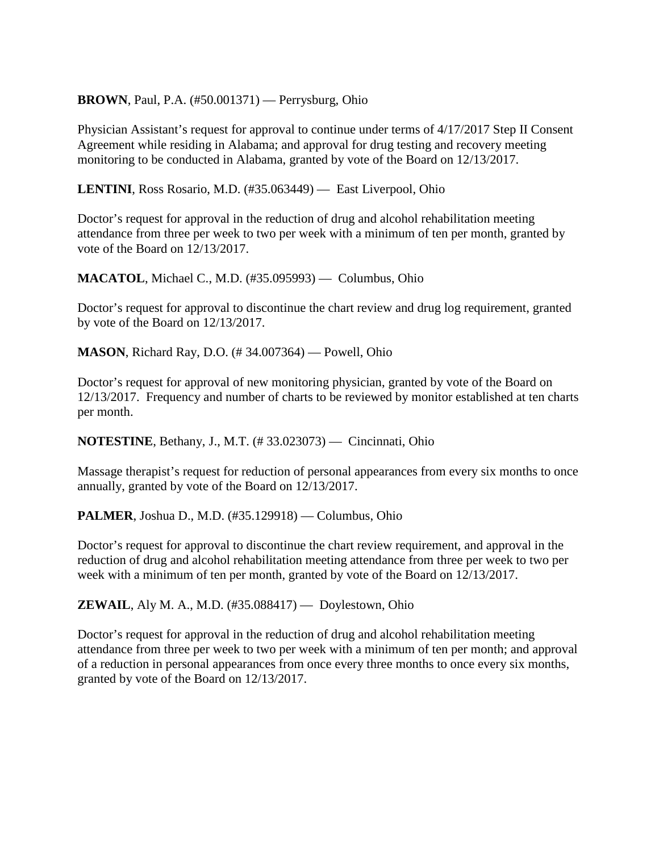## **BROWN**, Paul, P.A. (#50.001371) — Perrysburg, Ohio

Physician Assistant's request for approval to continue under terms of 4/17/2017 Step II Consent Agreement while residing in Alabama; and approval for drug testing and recovery meeting monitoring to be conducted in Alabama, granted by vote of the Board on 12/13/2017.

**LENTINI**, Ross Rosario, M.D. (#35.063449) — East Liverpool, Ohio

Doctor's request for approval in the reduction of drug and alcohol rehabilitation meeting attendance from three per week to two per week with a minimum of ten per month, granted by vote of the Board on 12/13/2017.

**MACATOL**, Michael C., M.D. (#35.095993) — Columbus, Ohio

Doctor's request for approval to discontinue the chart review and drug log requirement, granted by vote of the Board on 12/13/2017.

**MASON**, Richard Ray, D.O. (# 34.007364) — Powell, Ohio

Doctor's request for approval of new monitoring physician, granted by vote of the Board on 12/13/2017. Frequency and number of charts to be reviewed by monitor established at ten charts per month.

**NOTESTINE**, Bethany, J., M.T. (# 33.023073) — Cincinnati, Ohio

Massage therapist's request for reduction of personal appearances from every six months to once annually, granted by vote of the Board on 12/13/2017.

**PALMER**, Joshua D., M.D. (#35.129918) — Columbus, Ohio

Doctor's request for approval to discontinue the chart review requirement, and approval in the reduction of drug and alcohol rehabilitation meeting attendance from three per week to two per week with a minimum of ten per month, granted by vote of the Board on 12/13/2017.

**ZEWAIL**, Aly M. A., M.D. (#35.088417) — Doylestown, Ohio

Doctor's request for approval in the reduction of drug and alcohol rehabilitation meeting attendance from three per week to two per week with a minimum of ten per month; and approval of a reduction in personal appearances from once every three months to once every six months, granted by vote of the Board on 12/13/2017.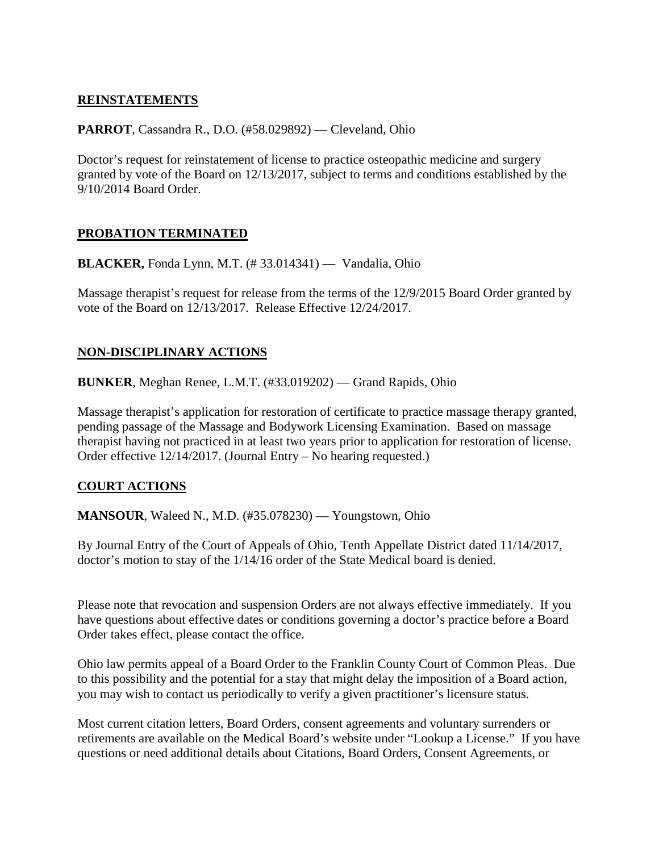## **REINSTATEMENTS**

## **PARROT**, Cassandra R., D.O. (#58.029892) — Cleveland, Ohio

Doctor's request for reinstatement of license to practice osteopathic medicine and surgery granted by vote of the Board on 12/13/2017, subject to terms and conditions established by the 9/10/2014 Board Order.

## **PROBATION TERMINATED**

**BLACKER,** Fonda Lynn, M.T. (# 33.014341) — Vandalia, Ohio

Massage therapist's request for release from the terms of the 12/9/2015 Board Order granted by vote of the Board on 12/13/2017. Release Effective 12/24/2017.

## **NON-DISCIPLINARY ACTIONS**

**BUNKER**, Meghan Renee, L.M.T. (#33.019202) — Grand Rapids, Ohio

Massage therapist's application for restoration of certificate to practice massage therapy granted, pending passage of the Massage and Bodywork Licensing Examination. Based on massage therapist having not practiced in at least two years prior to application for restoration of license. Order effective 12/14/2017. (Journal Entry – No hearing requested.)

## **COURT ACTIONS**

**MANSOUR, Waleed N., M.D.** (#35.078230) — Youngstown, Ohio

By Journal Entry of the Court of Appeals of Ohio, Tenth Appellate District dated 11/14/2017, doctor's motion to stay of the 1/14/16 order of the State Medical board is denied.

Please note that revocation and suspension Orders are not always effective immediately. If you have questions about effective dates or conditions governing a doctor's practice before a Board Order takes effect, please contact the office.

Ohio law permits appeal of a Board Order to the Franklin County Court of Common Pleas. Due to this possibility and the potential for a stay that might delay the imposition of a Board action, you may wish to contact us periodically to verify a given practitioner's licensure status.

Most current citation letters, Board Orders, consent agreements and voluntary surrenders or retirements are available on the Medical Board's website under "Lookup a License." If you have questions or need additional details about Citations, Board Orders, Consent Agreements, or